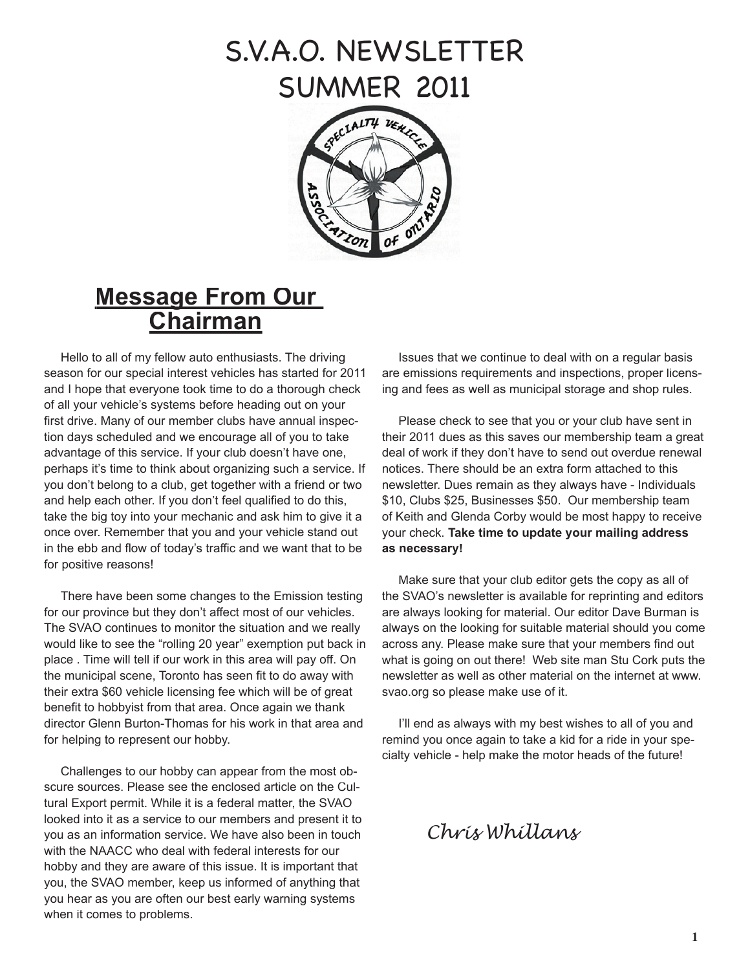# S.V.A.O. NEWSLETTER SUMMER 2011



## **Message From Our Chairman**

Hello to all of my fellow auto enthusiasts. The driving season for our special interest vehicles has started for 2011 and I hope that everyone took time to do a thorough check of all your vehicle's systems before heading out on your first drive. Many of our member clubs have annual inspection days scheduled and we encourage all of you to take advantage of this service. If your club doesn't have one, perhaps it's time to think about organizing such a service. If you don't belong to a club, get together with a friend or two and help each other. If you don't feel qualified to do this, take the big toy into your mechanic and ask him to give it a once over. Remember that you and your vehicle stand out in the ebb and flow of today's traffic and we want that to be for positive reasons!

There have been some changes to the Emission testing for our province but they don't affect most of our vehicles. The SVAO continues to monitor the situation and we really would like to see the "rolling 20 year" exemption put back in place . Time will tell if our work in this area will pay off. On the municipal scene, Toronto has seen fit to do away with their extra \$60 vehicle licensing fee which will be of great benefit to hobbyist from that area. Once again we thank director Glenn Burton-Thomas for his work in that area and for helping to represent our hobby.

Challenges to our hobby can appear from the most obscure sources. Please see the enclosed article on the Cultural Export permit. While it is a federal matter, the SVAO looked into it as a service to our members and present it to you as an information service. We have also been in touch with the NAACC who deal with federal interests for our hobby and they are aware of this issue. It is important that you, the SVAO member, keep us informed of anything that you hear as you are often our best early warning systems when it comes to problems.

Issues that we continue to deal with on a regular basis are emissions requirements and inspections, proper licensing and fees as well as municipal storage and shop rules.

Please check to see that you or your club have sent in their 2011 dues as this saves our membership team a great deal of work if they don't have to send out overdue renewal notices. There should be an extra form attached to this newsletter. Dues remain as they always have - Individuals \$10, Clubs \$25, Businesses \$50. Our membership team of Keith and Glenda Corby would be most happy to receive your check. **Take time to update your mailing address as necessary!**

Make sure that your club editor gets the copy as all of the SVAO's newsletter is available for reprinting and editors are always looking for material. Our editor Dave Burman is always on the looking for suitable material should you come across any. Please make sure that your members find out what is going on out there! Web site man Stu Cork puts the newsletter as well as other material on the internet at www. svao.org so please make use of it.

I'll end as always with my best wishes to all of you and remind you once again to take a kid for a ride in your specialty vehicle - help make the motor heads of the future!

*Chris Whillans*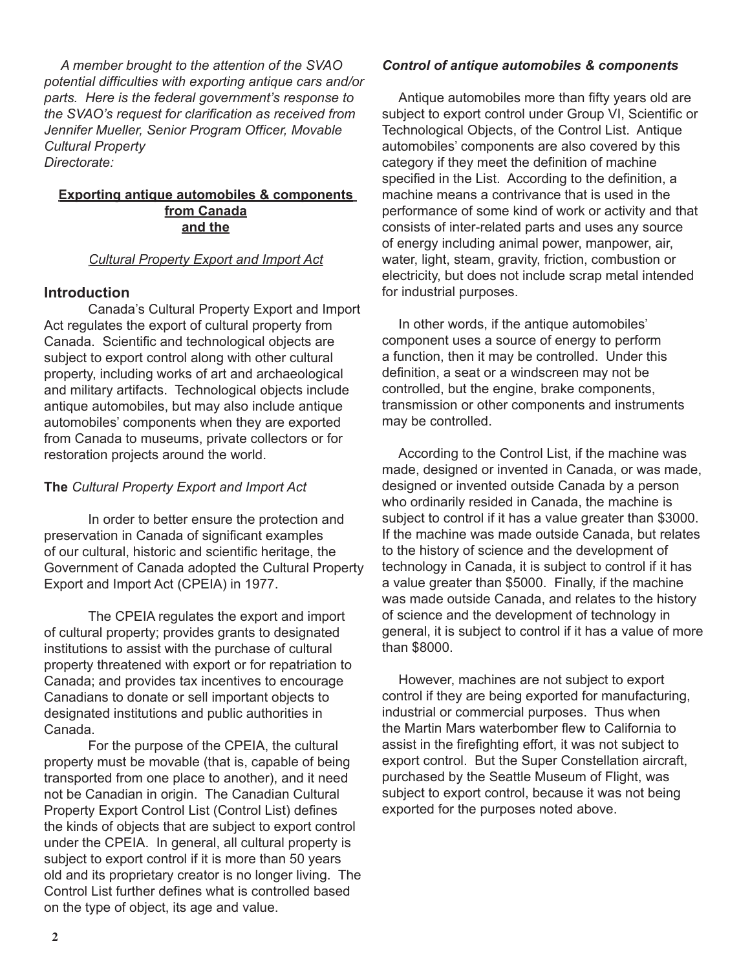*A member brought to the attention of the SVAO potential difficulties with exporting antique cars and/or parts. Here is the federal government's response to the SVAO's request for clarification as received from Jennifer Mueller, Senior Program Officer, Movable Cultural Property Directorate:*

### **Exporting antique automobiles & components from Canada and the**

## *Cultural Property Export and Import Act*

## **Introduction**

Canada's Cultural Property Export and Import Act regulates the export of cultural property from Canada. Scientific and technological objects are subject to export control along with other cultural property, including works of art and archaeological and military artifacts. Technological objects include antique automobiles, but may also include antique automobiles' components when they are exported from Canada to museums, private collectors or for restoration projects around the world.

## **The** *Cultural Property Export and Import Act*

In order to better ensure the protection and preservation in Canada of significant examples of our cultural, historic and scientific heritage, the Government of Canada adopted the Cultural Property Export and Import Act (CPEIA) in 1977.

The CPEIA regulates the export and import of cultural property; provides grants to designated institutions to assist with the purchase of cultural property threatened with export or for repatriation to Canada; and provides tax incentives to encourage Canadians to donate or sell important objects to designated institutions and public authorities in Canada.

For the purpose of the CPEIA, the cultural property must be movable (that is, capable of being transported from one place to another), and it need not be Canadian in origin. The Canadian Cultural Property Export Control List (Control List) defines the kinds of objects that are subject to export control under the CPEIA. In general, all cultural property is subject to export control if it is more than 50 years old and its proprietary creator is no longer living. The Control List further defines what is controlled based on the type of object, its age and value.

## *Control of antique automobiles & components*

Antique automobiles more than fifty years old are subject to export control under Group VI, Scientific or Technological Objects, of the Control List. Antique automobiles' components are also covered by this category if they meet the definition of machine specified in the List. According to the definition, a machine means a contrivance that is used in the performance of some kind of work or activity and that consists of inter-related parts and uses any source of energy including animal power, manpower, air, water, light, steam, gravity, friction, combustion or electricity, but does not include scrap metal intended for industrial purposes.

In other words, if the antique automobiles' component uses a source of energy to perform a function, then it may be controlled. Under this definition, a seat or a windscreen may not be controlled, but the engine, brake components, transmission or other components and instruments may be controlled.

According to the Control List, if the machine was made, designed or invented in Canada, or was made, designed or invented outside Canada by a person who ordinarily resided in Canada, the machine is subject to control if it has a value greater than \$3000. If the machine was made outside Canada, but relates to the history of science and the development of technology in Canada, it is subject to control if it has a value greater than \$5000. Finally, if the machine was made outside Canada, and relates to the history of science and the development of technology in general, it is subject to control if it has a value of more than \$8000.

However, machines are not subject to export control if they are being exported for manufacturing, industrial or commercial purposes. Thus when the Martin Mars waterbomber flew to California to assist in the firefighting effort, it was not subject to export control. But the Super Constellation aircraft, purchased by the Seattle Museum of Flight, was subject to export control, because it was not being exported for the purposes noted above.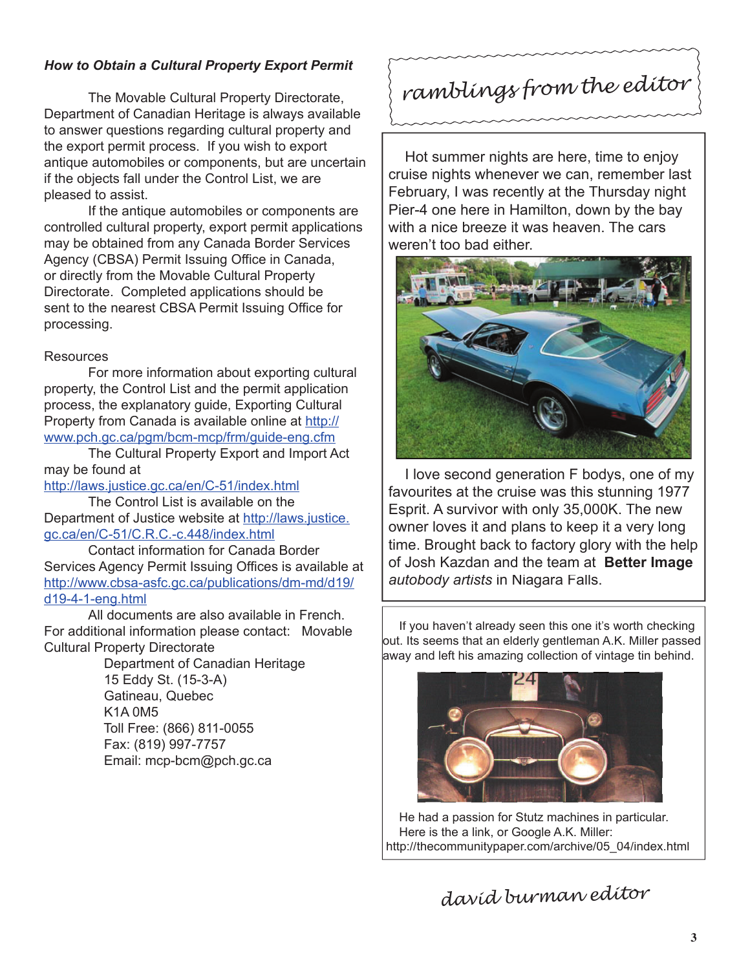## *How to Obtain a Cultural Property Export Permit*

The Movable Cultural Property Directorate, Department of Canadian Heritage is always available to answer questions regarding cultural property and the export permit process. If you wish to export antique automobiles or components, but are uncertain if the objects fall under the Control List, we are pleased to assist.

If the antique automobiles or components are controlled cultural property, export permit applications may be obtained from any Canada Border Services Agency (CBSA) Permit Issuing Office in Canada, or directly from the Movable Cultural Property Directorate. Completed applications should be sent to the nearest CBSA Permit Issuing Office for processing.

## **Resources**

For more information about exporting cultural property, the Control List and the permit application process, the explanatory guide, Exporting Cultural Property from Canada is available online at http:// www.pch.gc.ca/pgm/bcm-mcp/frm/guide-eng.cfm

The Cultural Property Export and Import Act may be found at

http://laws.justice.gc.ca/en/C-51/index.html

The Control List is available on the Department of Justice website at http://laws.justice. gc.ca/en/C-51/C.R.C.-c.448/index.html

Contact information for Canada Border Services Agency Permit Issuing Offices is available at http://www.cbsa-asfc.gc.ca/publications/dm-md/d19/ d19-4-1-eng.html

All documents are also available in French. For additional information please contact: Movable Cultural Property Directorate

 Department of Canadian Heritage 15 Eddy St. (15-3-A) Gatineau, Quebec K1A 0M5 Toll Free: (866) 811-0055 Fax: (819) 997-7757 Email: mcp-bcm@pch.gc.ca

*ramblings from the editor*

Hot summer nights are here, time to enjoy cruise nights whenever we can, remember last February, I was recently at the Thursday night Pier-4 one here in Hamilton, down by the bay with a nice breeze it was heaven. The cars weren't too bad either.



I love second generation F bodys, one of my favourites at the cruise was this stunning 1977 Esprit. A survivor with only 35,000K. The new owner loves it and plans to keep it a very long time. Brought back to factory glory with the help of Josh Kazdan and the team at **Better Image** *autobody artists* in Niagara Falls.

If you haven't already seen this one it's worth checking out. Its seems that an elderly gentleman A.K. Miller passed away and left his amazing collection of vintage tin behind.



He had a passion for Stutz machines in particular. Here is the a link, or Google A.K. Miller: http://thecommunitypaper.com/archive/05\_04/index.html

*david burman editor*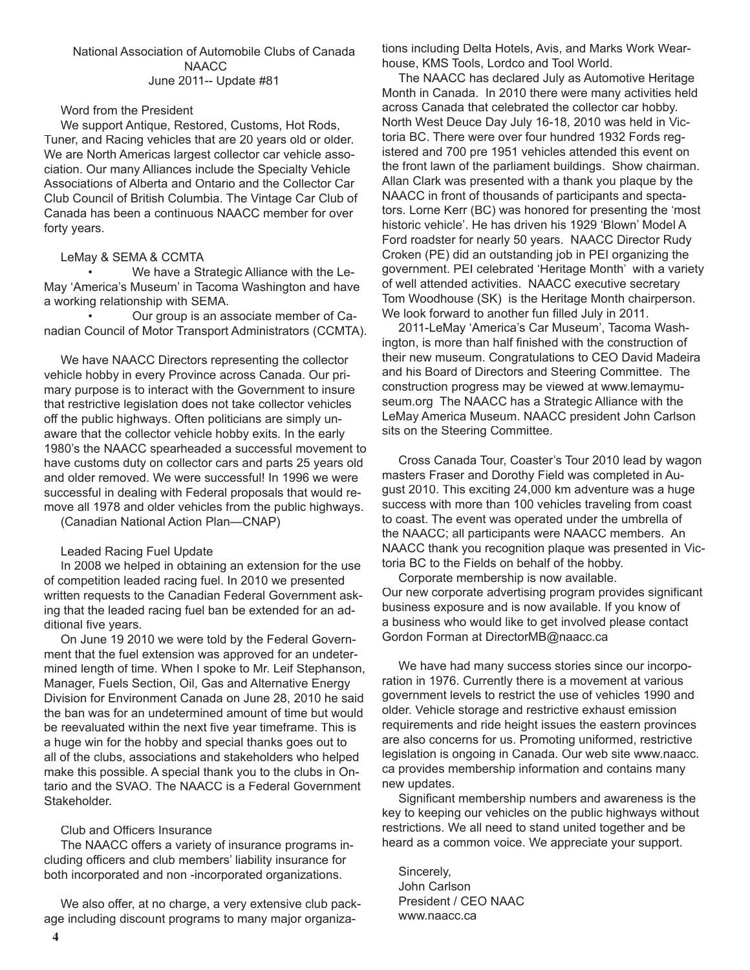#### National Association of Automobile Clubs of Canada **NAACC** June 2011-- Update #81

#### Word from the President

We support Antique, Restored, Customs, Hot Rods, Tuner, and Racing vehicles that are 20 years old or older. We are North Americas largest collector car vehicle association. Our many Alliances include the Specialty Vehicle Associations of Alberta and Ontario and the Collector Car Club Council of British Columbia. The Vintage Car Club of Canada has been a continuous NAACC member for over forty years.

#### LeMay & SEMA & CCMTA

 • We have a Strategic Alliance with the Le-May 'America's Museum' in Tacoma Washington and have a working relationship with SEMA.

 • Our group is an associate member of Canadian Council of Motor Transport Administrators (CCMTA).

We have NAACC Directors representing the collector vehicle hobby in every Province across Canada. Our primary purpose is to interact with the Government to insure that restrictive legislation does not take collector vehicles off the public highways. Often politicians are simply unaware that the collector vehicle hobby exits. In the early 1980's the NAACC spearheaded a successful movement to have customs duty on collector cars and parts 25 years old and older removed. We were successful! In 1996 we were successful in dealing with Federal proposals that would remove all 1978 and older vehicles from the public highways.

(Canadian National Action Plan—CNAP)

#### Leaded Racing Fuel Update

In 2008 we helped in obtaining an extension for the use of competition leaded racing fuel. In 2010 we presented written requests to the Canadian Federal Government asking that the leaded racing fuel ban be extended for an additional five years.

On June 19 2010 we were told by the Federal Government that the fuel extension was approved for an undetermined length of time. When I spoke to Mr. Leif Stephanson, Manager, Fuels Section, Oil, Gas and Alternative Energy Division for Environment Canada on June 28, 2010 he said the ban was for an undetermined amount of time but would be reevaluated within the next five year timeframe. This is a huge win for the hobby and special thanks goes out to all of the clubs, associations and stakeholders who helped make this possible. A special thank you to the clubs in Ontario and the SVAO. The NAACC is a Federal Government Stakeholder.

#### Club and Officers Insurance

The NAACC offers a variety of insurance programs including officers and club members' liability insurance for both incorporated and non -incorporated organizations.

We also offer, at no charge, a very extensive club package including discount programs to many major organizations including Delta Hotels, Avis, and Marks Work Wearhouse, KMS Tools, Lordco and Tool World.

The NAACC has declared July as Automotive Heritage Month in Canada. In 2010 there were many activities held across Canada that celebrated the collector car hobby. North West Deuce Day July 16-18, 2010 was held in Victoria BC. There were over four hundred 1932 Fords registered and 700 pre 1951 vehicles attended this event on the front lawn of the parliament buildings. Show chairman. Allan Clark was presented with a thank you plaque by the NAACC in front of thousands of participants and spectators. Lorne Kerr (BC) was honored for presenting the 'most historic vehicle'. He has driven his 1929 'Blown' Model A Ford roadster for nearly 50 years. NAACC Director Rudy Croken (PE) did an outstanding job in PEI organizing the government. PEI celebrated 'Heritage Month' with a variety of well attended activities. NAACC executive secretary Tom Woodhouse (SK) is the Heritage Month chairperson. We look forward to another fun filled July in 2011.

2011-LeMay 'America's Car Museum', Tacoma Washington, is more than half finished with the construction of their new museum. Congratulations to CEO David Madeira and his Board of Directors and Steering Committee. The construction progress may be viewed at www.lemaymuseum.org The NAACC has a Strategic Alliance with the LeMay America Museum. NAACC president John Carlson sits on the Steering Committee.

Cross Canada Tour, Coaster's Tour 2010 lead by wagon masters Fraser and Dorothy Field was completed in August 2010. This exciting 24,000 km adventure was a huge success with more than 100 vehicles traveling from coast to coast. The event was operated under the umbrella of the NAACC; all participants were NAACC members. An NAACC thank you recognition plaque was presented in Victoria BC to the Fields on behalf of the hobby.

Corporate membership is now available. Our new corporate advertising program provides significant business exposure and is now available. If you know of a business who would like to get involved please contact Gordon Forman at DirectorMB@naacc.ca

We have had many success stories since our incorporation in 1976. Currently there is a movement at various government levels to restrict the use of vehicles 1990 and older. Vehicle storage and restrictive exhaust emission requirements and ride height issues the eastern provinces are also concerns for us. Promoting uniformed, restrictive legislation is ongoing in Canada. Our web site www.naacc. ca provides membership information and contains many new updates.

Significant membership numbers and awareness is the key to keeping our vehicles on the public highways without restrictions. We all need to stand united together and be heard as a common voice. We appreciate your support.

Sincerely, John Carlson President / CEO NAAC www.naacc.ca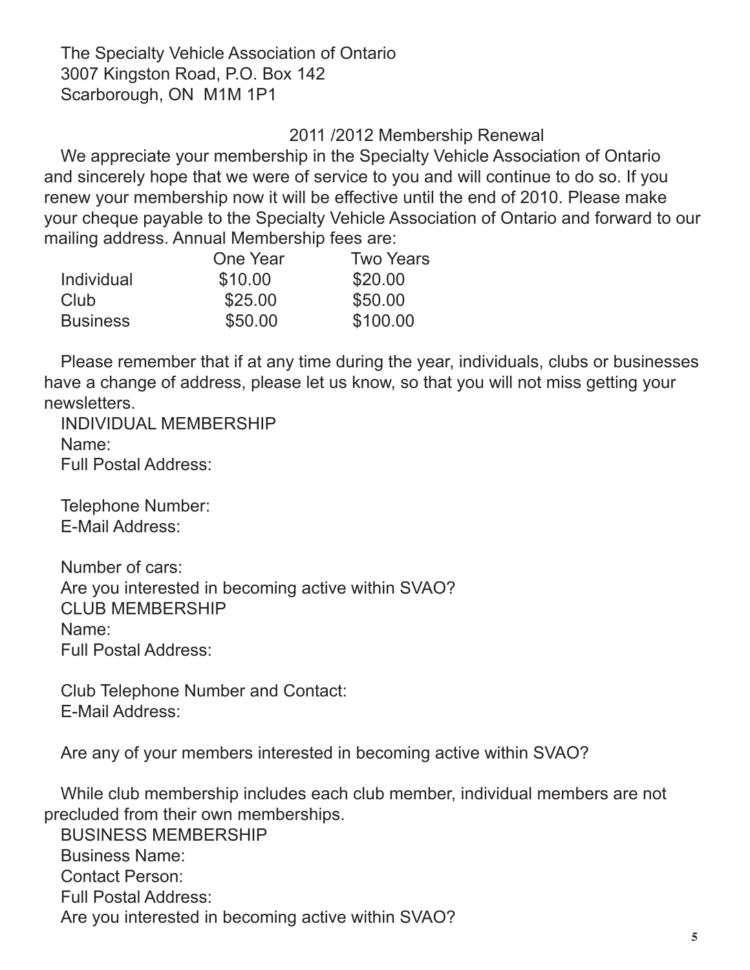The Specialty Vehicle Association of Ontario 3007 Kingston Road, P.O. Box 142 Scarborough, ON M1M 1P1

## 2011 /2012 Membership Renewal

We appreciate your membership in the Specialty Vehicle Association of Ontario and sincerely hope that we were of service to you and will continue to do so. If you renew your membership now it will be effective until the end of 2010. Please make your cheque payable to the Specialty Vehicle Association of Ontario and forward to our mailing address. Annual Membership fees are:

|                 | One Year | <b>Two Years</b> |
|-----------------|----------|------------------|
| Individual      | \$10.00  | \$20.00          |
| Club            | \$25.00  | \$50.00          |
| <b>Business</b> | \$50.00  | \$100.00         |

Please remember that if at any time during the year, individuals, clubs or businesses have a change of address, please let us know, so that you will not miss getting your newsletters.

INDIVIDUAL MEMBERSHIP Name: Full Postal Address:

Telephone Number: E-Mail Address:

Number of cars: Are you interested in becoming active within SVAO? CLUB MEMBERSHIP Name: Full Postal Address:

Club Telephone Number and Contact: E-Mail Address:

Are any of your members interested in becoming active within SVAO?

While club membership includes each club member, individual members are not precluded from their own memberships.

BUSINESS MEMBERSHIP Business Name: Contact Person: Full Postal Address: Are you interested in becoming active within SVAO?